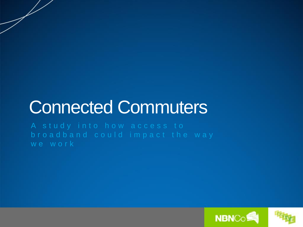# Connected Commuters

A study into how access to b r o a d b a n d c o u l d impact the way we work

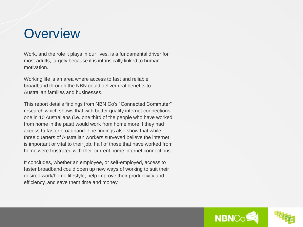## **Overview**

Work, and the role it plays in our lives, is a fundamental driver for most adults, largely because it is intrinsically linked to human motivation.

Working life is an area where access to fast and reliable broadband through the NBN could deliver real benefits to Australian families and businesses.

This report details findings from NBN Co's "Connected Commuter" research which shows that with better quality internet connections, one in 10 Australians (i.e. one third of the people who have worked from home in the past) would work from home more if they had access to faster broadband. The findings also show that while three quarters of Australian workers surveyed believe the internet is important or vital to their job, half of those that have worked from home were frustrated with their current home internet connections.

It concludes, whether an employee, or self-employed, access to faster broadband could open up new ways of working to suit their desired work/home lifestyle, help improve their productivity and efficiency, and save them time and money.

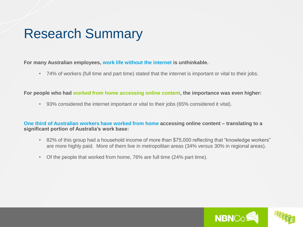## Research Summary

**For many Australian employees, work life without the internet is unthinkable.** 

• 74% of workers (full time and part time) stated that the internet is important or vital to their jobs.

**For people who had worked from home accessing online content, the importance was even higher:**

• 93% considered the internet important or vital to their jobs (65% considered it vital).

**One third of Australian workers have worked from home accessing online content – translating to a significant portion of Australia's work base:**

- 82% of this group had a household income of more than \$75,000 reflecting that "knowledge workers" are more highly paid. More of them live in metropolitan areas (34% versus 30% in regional areas).
- Of the people that worked from home, 76% are full time (24% part time).

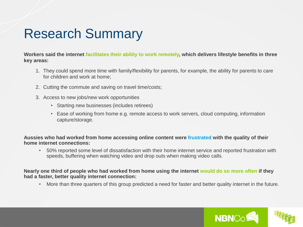## Research Summary

**Workers said the internet facilitates their ability to work remotely, which delivers lifestyle benefits in three key areas:** 

- 1. They could spend more time with family/flexibility for parents, for example, the ability for parents to care for children and work at home;
- 2. Cutting the commute and saving on travel time/costs;
- 3. Access to new jobs/new work opportunities
	- Starting new businesses (includes retirees)
	- Ease of working from home e.g. remote access to work servers, cloud computing, information capture/storage.

**Aussies who had worked from home accessing online content were frustrated with the quality of their home internet connections:**

• 50% reported some level of dissatisfaction with their home internet service and reported frustration with speeds, buffering when watching video and drop outs when making video calls.

**Nearly one third of people who had worked from home using the internet would do so more often if they had a faster, better quality internet connection:**

• More than three quarters of this group predicted a need for faster and better quality internet in the future.

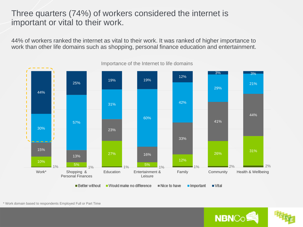### Three quarters (74%) of workers considered the internet is important or vital to their work.

44% of workers ranked the internet as vital to their work. It was ranked of higher importance to work than other life domains such as shopping, personal finance education and entertainment.



Importance of the Internet to life domains



\* Work domain based to respondents Employed Full or Part Time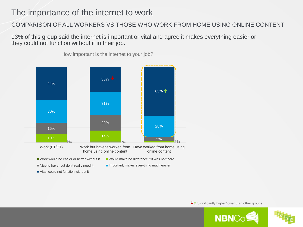### The importance of the internet to work

### COMPARISON OF ALL WORKERS VS THOSE WHO WORK FROM HOME USING ONLINE CONTENT

93% of this group said the internet is important or vital and agree it makes everything easier or they could not function without it in their job.



How important is the internet to your job?

↓↑ Significantly higher/lower than other groups



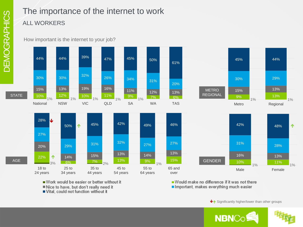### The importance of the internet to work ALL WORKERS

How important is the internet to your job?



Work would be easier or better without it Nice to have, but don't really need it Vital, could not function without it

■ Would make no difference if it was not there Important, makes everything much easier

↓↑ Significantly higher/lower than other groups

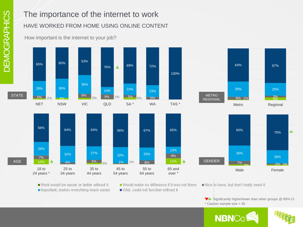## The importance of the internet to work HAVE WORKED FROM HOME USING ONLINE CONTENT

How important is the internet to your job?









■ Work would be easier or better without it Important, makes everything much easier

■ Would make no difference if it was not there Vital, could not function without it

Nice to have, but don't really need it

 $\blacktriangledown$  Significantly higher/lower than other groups  $@$  80% CI \* Caution sample size < 30

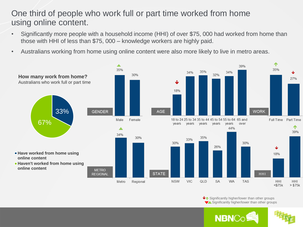### One third of people who work full or part time worked from home using online content.

- Significantly more people with a household income (HHI) of over \$75, 000 had worked from home than those with HHI of less than \$75, 000 – knowledge workers are highly paid.
- Australians working from home using online content were also more likely to live in metro areas.



↓↑ Significantly higher/lower than other groups Significantly higher/lower than other groups

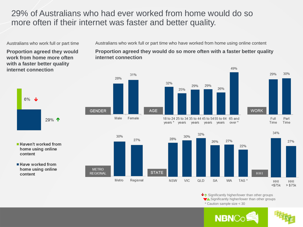### 29% of Australians who had ever worked from home would do so more often if their internet was faster and better quality.

Australians who work full or part time

**Proportion agreed they would work from home more often with a faster better quality internet connection**



**Haven't worked from** home using online content

■ Have worked from home using online content



years \* years



**GENDER** 

**METRO** 

**REGIONAL** 

30%

Metro



years years years





 $\blacklozenge$  Significantly higher/lower than other groups Significantly higher/lower than other groups \* Caution sample size < 30

49%



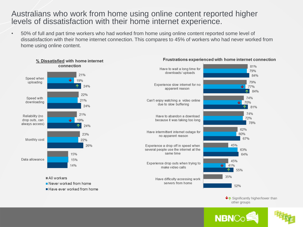### Australians who work from home using online content reported higher levels of dissatisfaction with their home internet experience.

• 50% of full and part time workers who had worked from home using online content reported some level of dissatisfaction with their home internet connection. This compares to 45% of workers who had never worked from home using online content.



#### Frustrations experienced with home internet connection

 $\blacklozenge$  Significantly higher/lower than other groups

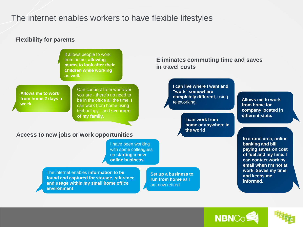### The internet enables workers to have flexible lifestyles

#### **Flexibility for parents**